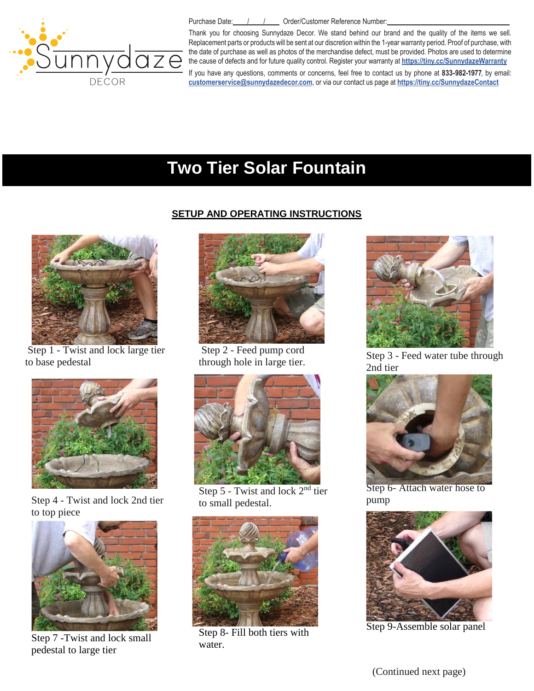

Purchase Date: / / / / Drder/Customer Reference Number:

Thank you for choosing Sunnydaze Decor. We stand behind our brand and the quality of the items we sell. Replacement parts or products will be sent at our discretion within the 1-year warranty period. Proof of purchase, with the date of purchase as well as photos of the merchandise defect, must be provided. Photos are used to determine [the cause of defects and](mailto:customerservvice@serenityhealth.com) for future quality control. [Register your warranty at](http://www.serenityhealth.com/contact-us/) **https://tiny.cc/SunnydazeWarranty** If you have any questions, comments or concerns, feel free to contact us by phone at **833-982-1977**, by email: **customerservice@sunnydazedecor.com**, or via our contact us page at **https://tiny.cc/SunnydazeContact**

# **Two Tier Solar Fountain**

## **SETUP AND OPERATING INSTRUCTIONS**



Step 1 - Twist and lock large tier to base pedestal



Step 4 - Twist and lock 2nd tier to top piece



Step 7 -Twist and lock small pedestal to large tier



Step 2 - Feed pump cord through hole in large tier.



Step 5 - Twist and lock 2<sup>nd</sup> tier to small pedestal.



Step 8- Fill both tiers with water.



Step 3 - Feed water tube through 2nd tier



Step 6- Attach water hose to pump



Step 9-Assemble solar panel